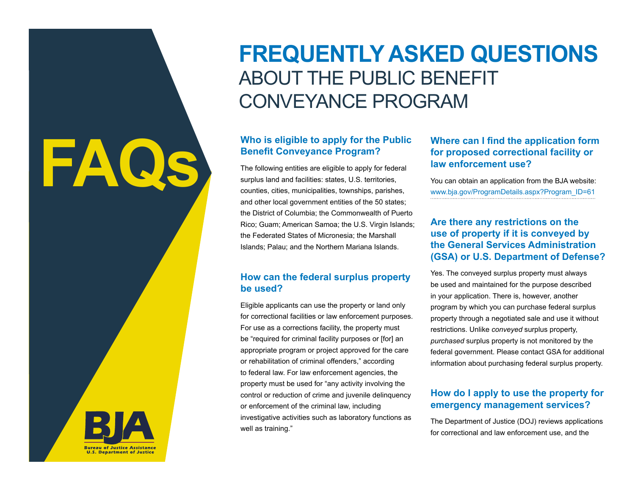# **FREQUENTLY ASKED QUESTIONS**  ABOUT THE PUBLIC BENEFIT CONVEYANCE PROGRAM

### **Who is eligible to apply for the Public Benefit Conveyance Program?**

The following entities are eligible to apply for federal surplus land and facilities: states, U.S. territories, counties, cities, municipalities, townships, parishes, and other local government entities of the 50 states; the District of Columbia; the Commonwealth of Puerto Rico; Guam; American Samoa; the U.S. Virgin Islands; the Federated States of Micronesia; the Marshall Islands; Palau; and the Northern Mariana Islands.

#### **How can the federal surplus property be used?**

Eligible applicants can use the property or land only for correctional facilities or law enforcement purposes. For use as a corrections facility, the property must be "required for criminal facility purposes or [for] an appropriate program or project approved for the care or rehabilitation of criminal offenders," according to federal law. For law enforcement agencies, the property must be used for "any activity involving the control or reduction of crime and juvenile delinquency or enforcement of the criminal law, including investigative activities such as laboratory functions as well as training."

### **Where can I find the application form for proposed correctional facility or law enforcement use?**

You can obtain an application from the BJA website: [www.bja.gov/ProgramDetails.aspx?Program\\_ID=61](http://www.bja.gov/ProgramDetails.aspx?Program_ID=61)

#### **Are there any restrictions on the use of property if it is conveyed by the General Services Administration (GSA) or U.S. Department of Defense?**

Yes. The conveyed surplus property must always be used and maintained for the purpose described in your application. There is, however, another program by which you can purchase federal surplus property through a negotiated sale and use it without restrictions. Unlike *conveyed* surplus property, *purchased* surplus property is not monitored by the federal government. Please contact GSA for additional information about purchasing federal surplus property.

#### **How do I apply to use the property for emergency management services?**

The Department of Justice (DOJ) reviews applications for correctional and law enforcement use, and the



**FAQs**